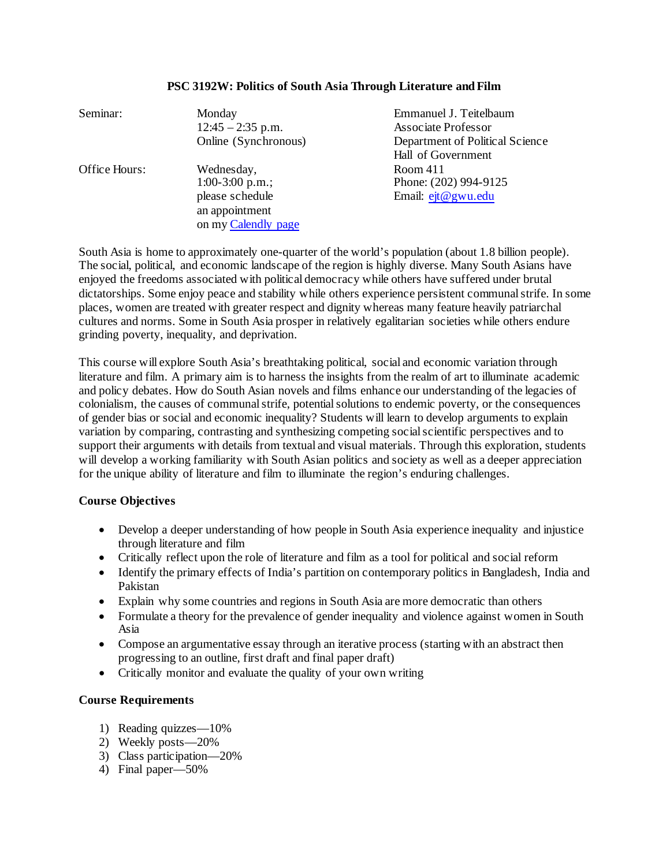# Seminar: Monday Emmanuel J. Teitelbaum 12:45 – 2:35 p.m. Associate Professor Online (Synchronous) Department of Political Science Hall of Government Office Hours: Wednesday, Room 411 1:00-3:00 p.m.; Phone: (202) 994-9125 please schedule Email: [ejt@gwu.edu](mailto:ejt@gwu.edu) an appointment on my [Calendly page](https://calendly.com/emmanuel-teitelbaum)

#### **PSC 3192W: Politics of South Asia Through Literature and Film**

South Asia is home to approximately one-quarter of the world's population (about 1.8 billion people). The social, political, and economic landscape of the region is highly diverse. Many South Asians have enjoyed the freedoms associated with political democracy while others have suffered under brutal dictatorships. Some enjoy peace and stability while others experience persistent communal strife. In some places, women are treated with greater respect and dignity whereas many feature heavily patriarchal cultures and norms. Some in South Asia prosper in relatively egalitarian societies while others endure grinding poverty, inequality, and deprivation.

This course will explore South Asia's breathtaking political, social and economic variation through literature and film. A primary aim is to harness the insights from the realm of art to illuminate academic and policy debates. How do South Asian novels and films enhance our understanding of the legacies of colonialism, the causes of communal strife, potential solutions to endemic poverty, or the consequences of gender bias or social and economic inequality? Students will learn to develop arguments to explain variation by comparing, contrasting and synthesizing competing social scientific perspectives and to support their arguments with details from textual and visual materials. Through this exploration, students will develop a working familiarity with South Asian politics and society as well as a deeper appreciation for the unique ability of literature and film to illuminate the region's enduring challenges.

# **Course Objectives**

- Develop a deeper understanding of how people in South Asia experience inequality and injustice through literature and film
- Critically reflect upon the role of literature and film as a tool for political and social reform
- Identify the primary effects of India's partition on contemporary politics in Bangladesh, India and Pakistan
- Explain why some countries and regions in South Asia are more democratic than others
- Formulate a theory for the prevalence of gender inequality and violence against women in South Asia
- Compose an argumentative essay through an iterative process (starting with an abstract then progressing to an outline, first draft and final paper draft)
- Critically monitor and evaluate the quality of your own writing

# **Course Requirements**

- 1) Reading quizzes—10%
- 2) Weekly posts—20%
- 3) Class participation—20%
- 4) Final paper—50%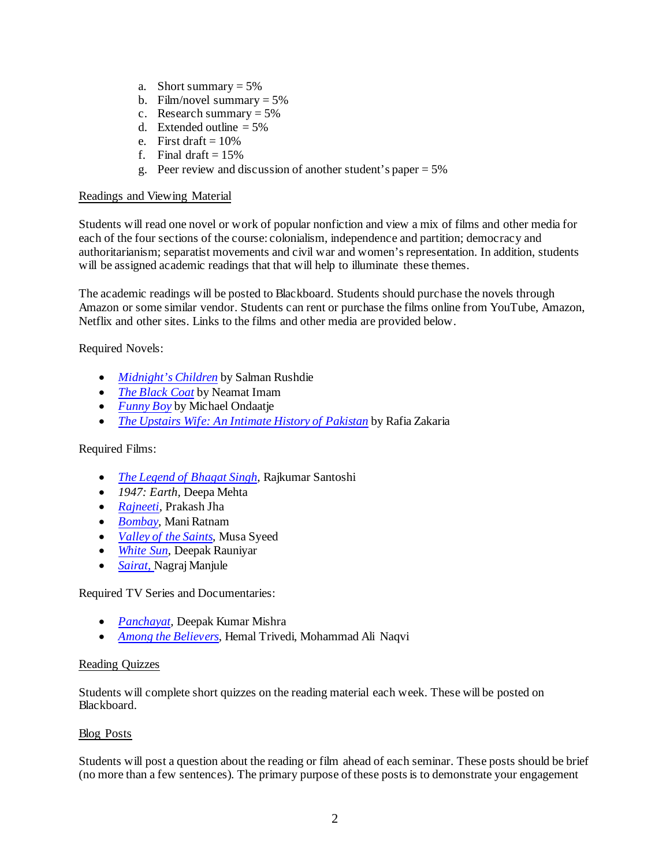- a. Short summary  $= 5\%$
- b. Film/novel summary  $= 5\%$
- c. Research summary  $= 5\%$
- d. Extended outline  $= 5\%$
- e. First draft  $= 10\%$
- f. Final draft  $= 15\%$
- g. Peer review and discussion of another student's paper  $= 5\%$

## Readings and Viewing Material

Students will read one novel or work of popular nonfiction and view a mix of films and other media for each of the four sections of the course: colonialism, independence and partition; democracy and authoritarianism; separatist movements and civil war and women's representation. In addition, students will be assigned academic readings that that will help to illuminate these themes.

The academic readings will be posted to Blackboard. Students should purchase the novels through Amazon or some similar vendor. Students can rent or purchase the films online from YouTube, Amazon, Netflix and other sites. Links to the films and other media are provided below.

Required Novels:

- *[Midnight's Children](https://www.amazon.com/Midnights-Children-Modern-Library-Novels/dp/0812976533)* by Salman Rushdie
- *[The Black Coat](https://www.amazon.com/Black-Coat-Neamat-Imam/dp/1859640060/ref=sr_1_1?dchild=1&keywords=The+Black+Coat+neamat+imam&qid=1610375507&s=books&sr=1-1)* by Neamat Imam
- *[Funny Boy](https://www.amazon.com/Funny-Boy-Novel-Shyam-Selvadurai-ebook/dp/B00MTSRD1U/ref=sr_1_1?dchild=1&keywords=funny+boy&qid=1610375544&s=books&sr=1-1)* by Michael Ondaatje
- *[The Upstairs Wife: An Intimate History of Pakistan](https://www.amazon.com/Upstairs-Wife-Intimate-History-Pakistan-ebook/dp/B00MKZ0PXA/ref=sr_1_2?dchild=1&keywords=Rafia+zakaria&qid=1610375617&s=books&sr=1-2)* by Rafia Zakaria

## Required Films:

- *[The Legend of Bhagat Singh,](https://www.amazon.com/gp/video/detail/B07VQS7864/ref=atv_hm_hom_1_c_iEgOEZ_2_3)* Rajkumar Santoshi
- *1947: Earth,* Deepa Mehta
- *[Rajneeti](https://www.netflix.com/title/70123124?source=35)*, Prakash Jha
- *[Bombay](https://www.amazon.com/Bombay-Arvind-Swamy/dp/B07M65RXTP/ref=sr_1_1?dchild=1&keywords=bombay&qid=1610375830&s=instant-video&sr=1-1)*, Mani Ratnam
- *[Valley of the Saints](https://www.amazon.com/Valley-Saints-Gulzar-Bhat/dp/B00XLUMOE6/ref=sr_1_1?dchild=1&keywords=valley+of+the+saints&qid=1610375942&s=instant-video&sr=1-1)*, Musa Syeed
- *[White Sun](https://www.amazon.com/gp/video/detail/B07C9LRK54/ref=atv_dl_rdr)*, Deepak Rauniyar
- *[Sairat](https://www.youtube.com/watch?v=57BBtJCzmIQ)*, Nagraj Manjule

Required TV Series and Documentaries:

- *Panchayat*, Deepak Kumar Mishra
- *[Among the Believers](https://www.amazon.com/Among-Believers-Maulana-Abdul-Ghazi/dp/B0797H6B81/ref=sr_1_1?dchild=1&keywords=among+the+believers&qid=1610376111&s=instant-video&sr=1-1)*, Hemal Trivedi, Mohammad Ali Naqvi

## Reading Quizzes

Students will complete short quizzes on the reading material each week. These will be posted on Blackboard.

## Blog Posts

Students will post a question about the reading or film ahead of each seminar. These posts should be brief (no more than a few sentences). The primary purpose of these posts is to demonstrate your engagement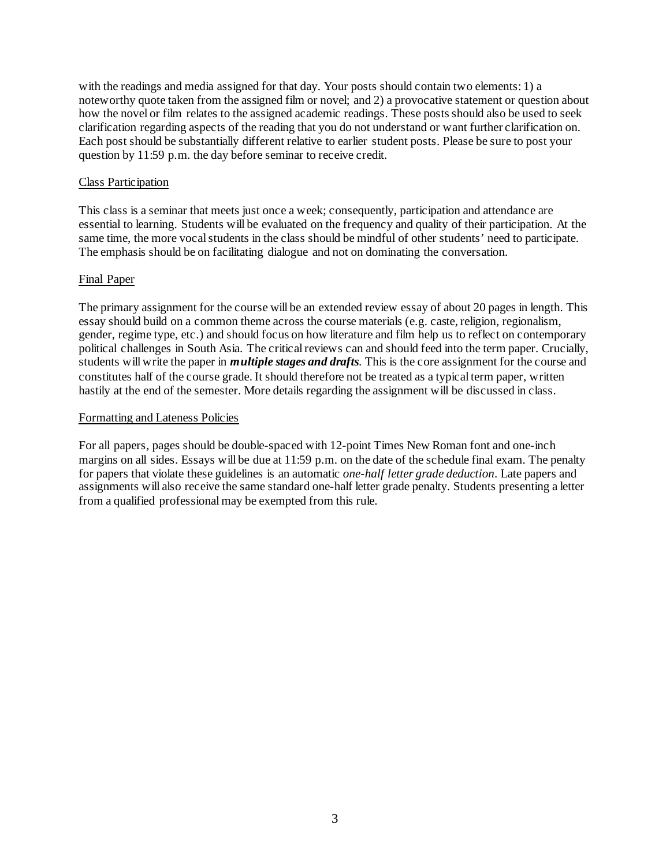with the readings and media assigned for that day. Your posts should contain two elements: 1) a noteworthy quote taken from the assigned film or novel; and 2) a provocative statement or question about how the novel or film relates to the assigned academic readings. These posts should also be used to seek clarification regarding aspects of the reading that you do not understand or want further clarification on. Each post should be substantially different relative to earlier student posts. Please be sure to post your question by 11:59 p.m. the day before seminar to receive credit.

### Class Participation

This class is a seminar that meets just once a week; consequently, participation and attendance are essential to learning. Students will be evaluated on the frequency and quality of their participation. At the same time, the more vocal students in the class should be mindful of other students' need to participate. The emphasis should be on facilitating dialogue and not on dominating the conversation.

### Final Paper

The primary assignment for the course will be an extended review essay of about 20 pages in length. This essay should build on a common theme across the course materials (e.g. caste, religion, regionalism, gender, regime type, etc.) and should focus on how literature and film help us to reflect on contemporary political challenges in South Asia. The critical reviews can and should feed into the term paper. Crucially, students will write the paper in *multiple stages and drafts*. This is the core assignment for the course and constitutes half of the course grade. It should therefore not be treated as a typical term paper, written hastily at the end of the semester. More details regarding the assignment will be discussed in class.

### Formatting and Lateness Policies

For all papers, pages should be double-spaced with 12-point Times New Roman font and one-inch margins on all sides. Essays will be due at 11:59 p.m. on the date of the schedule final exam. The penalty for papers that violate these guidelines is an automatic *one-half letter grade deduction*. Late papers and assignments will also receive the same standard one-half letter grade penalty. Students presenting a letter from a qualified professional may be exempted from this rule.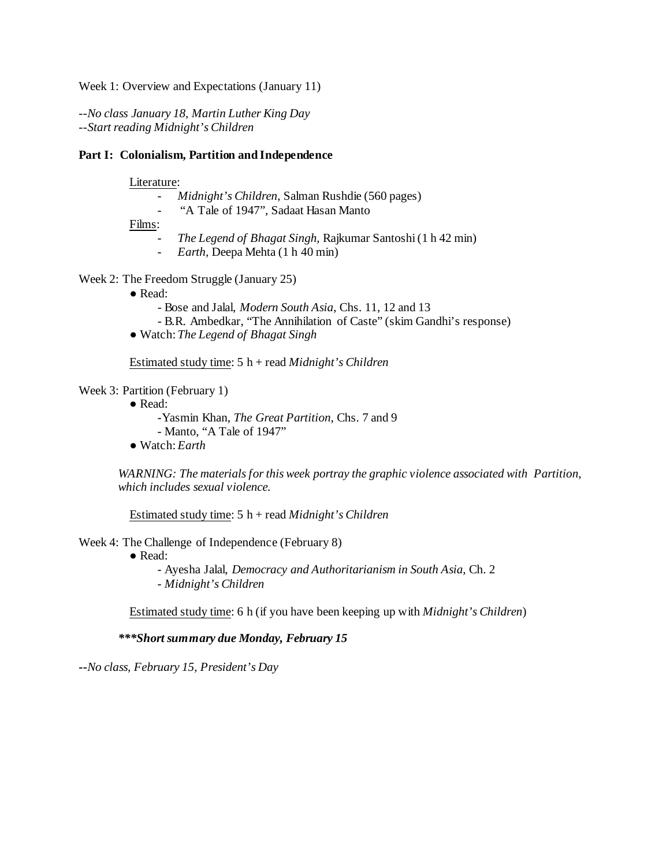Week 1: Overview and Expectations (January 11)

*--No class January 18, Martin Luther King Day --Start reading Midnight's Children*

### **Part I: Colonialism, Partition and Independence**

#### Literature:

- *Midnight's Children*, Salman Rushdie (560 pages)
- "A Tale of 1947", Sadaat Hasan Manto
- Films:
	- *The Legend of Bhagat Singh*, Rajkumar Santoshi (1 h 42 min)
	- *Earth,* Deepa Mehta (1 h 40 min)

### Week 2: The Freedom Struggle (January 25)

- Read:
	- Bose and Jalal, *Modern South Asia*, Chs. 11, 12 and 13
	- B.R. Ambedkar, "The Annihilation of Caste" (skim Gandhi's response)
- Watch: *The Legend of Bhagat Singh*

Estimated study time: 5 h + read *Midnight's Children*

Week 3: Partition (February 1)

- Read:
	- -Yasmin Khan, *The Great Partition*, Chs. 7 and 9
	- Manto, "A Tale of 1947"
- Watch: *Earth*

*WARNING: The materials for this week portray the graphic violence associated with Partition, which includes sexual violence.*

Estimated study time: 5 h + read *Midnight's Children*

Week 4: The Challenge of Independence (February 8)

● Read:

- Ayesha Jalal, *Democracy and Authoritarianism in South Asia*, Ch. 2 - *Midnight's Children*

Estimated study time: 6 h (if you have been keeping up with *Midnight's Children*)

*\*\*\*Short summary due Monday, February 15*

**--***No class, February 15, President's Day*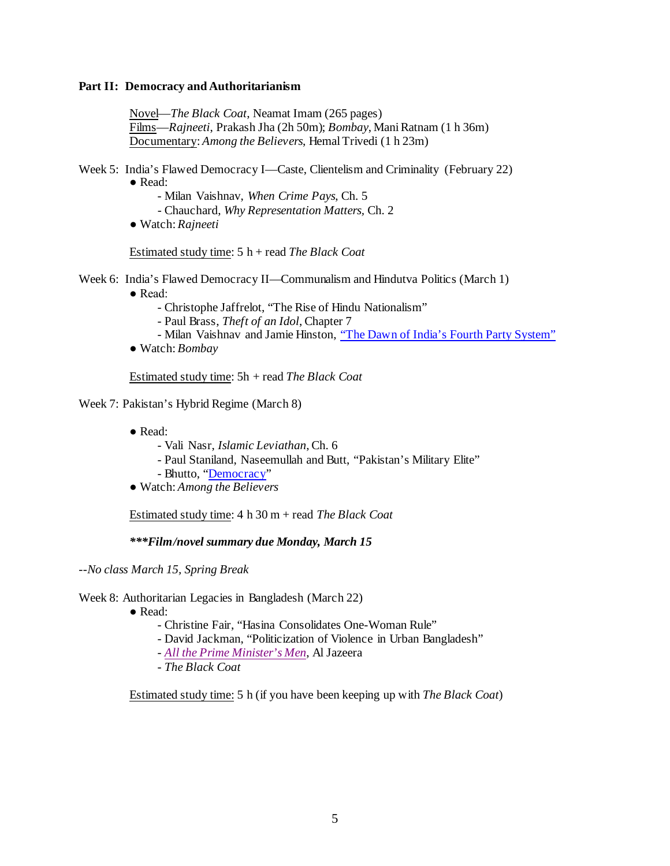### **Part II: Democracy and Authoritarianism**

Novel—*The Black Coat*, Neamat Imam (265 pages) Films—*Rajneeti*, Prakash Jha (2h 50m); *Bombay*, Mani Ratnam (1 h 36m) Documentary: *Among the Believers*, Hemal Trivedi (1 h 23m)

- Week 5: India's Flawed Democracy I—Caste, Clientelism and Criminality (February 22) ● Read:
	- Milan Vaishnav, *When Crime Pays*, Ch. 5
	- Chauchard, *Why Representation Matters,* Ch. 2
	- Watch: *Rajneeti*

Estimated study time: 5 h + read *The Black Coat*

Week 6: India's Flawed Democracy II—Communalism and Hindutva Politics (March 1)

- Read:
	- Christophe Jaffrelot, "The Rise of Hindu Nationalism"
	- Paul Brass, *Theft of an Idol*, Chapter 7
	- Milan Vaishnav and Jamie Hinston, ["The Dawn of India's Fourth Party System"](https://carnegieendowment.org/2019/09/05/dawn-of-india-s-fourth-party-system-pub-79759)
- Watch: *Bombay*

Estimated study time: 5h + read *The Black Coat*

Week 7: Pakistan's Hybrid Regime (March 8)

- Read:
	- Vali Nasr, *Islamic Leviathan*, Ch. 6
	- Paul Staniland, Naseemullah and Butt, "Pakistan's Military Elite"
	- Bhutto, ["Democracy"](https://www.amazon.com/Democracy-Penguin-Petit-Fatima-Bhutto-ebook/dp/B06XYN3VX7/ref=sr_1_1?dchild=1&keywords=fatima+bhutto+democracy&qid=1610382330&sr=8-1)
- Watch: *Among the Believers*

Estimated study time: 4 h 30 m + read *The Black Coat*

*\*\*\*Film/novel summary due Monday, March 15*

*--No class March 15, Spring Break*

Week 8: Authoritarian Legacies in Bangladesh (March 22)

- Read:
	- Christine Fair, "Hasina Consolidates One-Woman Rule"
	- David Jackman, "Politicization of Violence in Urban Bangladesh"
	- *[All the Prime Minister's Men](https://www.youtube.com/watch?v=a6v_levbUN4&feature=youtu.be)*, Al Jazeera
	- *The Black Coat*

Estimated study time: 5 h (if you have been keeping up with *The Black Coat*)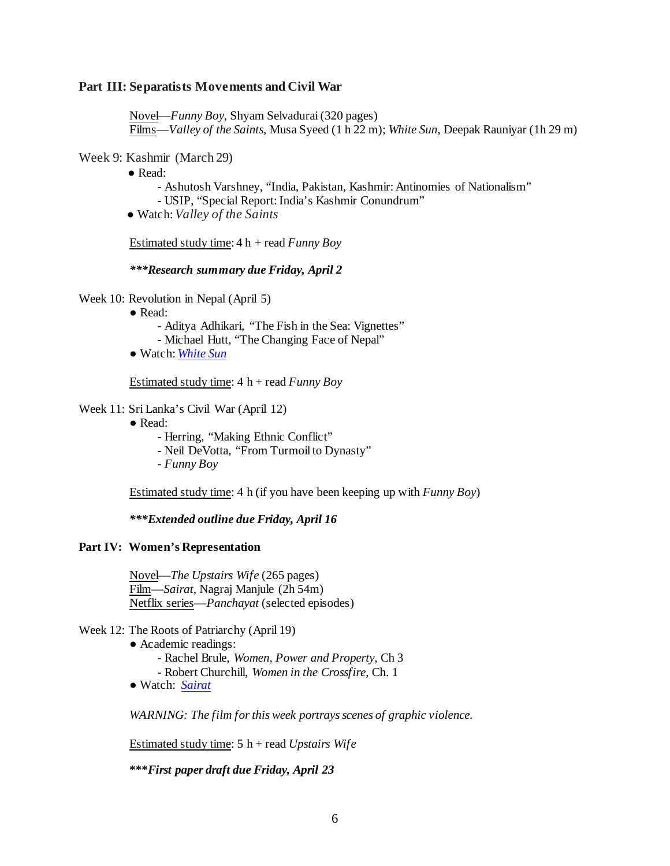### **Part III: Separatists Movements and Civil War**

Novel—*Funny Boy*, Shyam Selvadurai (320 pages) Films—*Valley of the Saints*, Musa Syeed (1 h 22 m); *White Sun*, Deepak Rauniyar (1h 29 m)

## Week 9: Kashmir (March 29)

 $\bullet$  Read:

- Ashutosh Varshney, "India, Pakistan, Kashmir: Antinomies of Nationalism"

- USIP, "Special Report: India's Kashmir Conundrum"

● Watch: *Valley of the Saints*

Estimated study time: 4 h + read *Funny Boy*

*\*\*\*Research summary due Friday, April 2*

Week 10: Revolution in Nepal (April 5)

- Read:
	- Aditya Adhikari, "The Fish in the Sea: Vignettes"
	- Michael Hutt, "The Changing Face of Nepal"
- Watch: *[White Sun](https://www.amazon.com/gp/video/detail/B07C9LRK54/ref=atv_dl_rdr)*

Estimated study time: 4 h + read *Funny Boy*

## Week 11: Sri Lanka's Civil War (April 12)

- Read:
	- Herring, "Making Ethnic Conflict"
	- Neil DeVotta, "From Turmoil to Dynasty"
	- *Funny Boy*

Estimated study time: 4 h (if you have been keeping up with *Funny Boy*)

*\*\*\*Extended outline due Friday, April 16*

## **Part IV: Women's Representation**

Novel—*The Upstairs Wife* (265 pages) Film—*Sairat*, Nagraj Manjule (2h 54m) Netflix series—*Panchayat* (selected episodes)

#### Week 12: The Roots of Patriarchy (April 19)

- Academic readings: - Rachel Brule, *Women, Power and Property*, Ch 3 - Robert Churchill, *Women in the Crossfire*, Ch. 1
- Watch: *[Sairat](https://www.youtube.com/watch?v=57BBtJCzmIQ)*

*WARNING: The film for this week portrays scenes of graphic violence.*

Estimated study time: 5 h + read *Upstairs Wife*

**\*\*\****First paper draft due Friday, April 23*